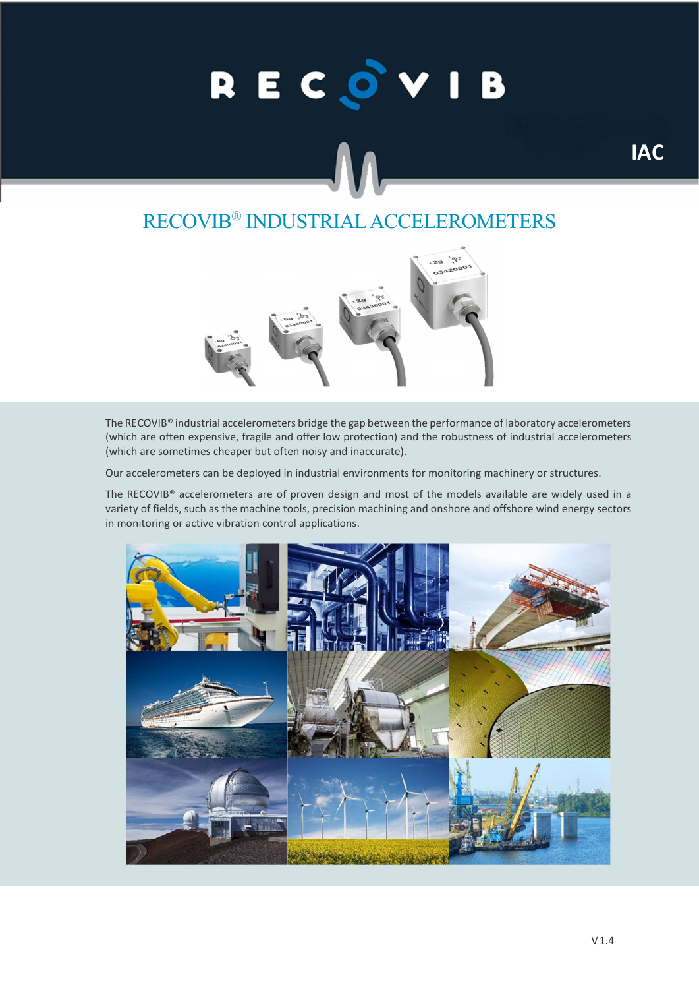# RECOVIB

## RECOVIB® INDUSTRIAL ACCELEROMETERS



The RECOVIB® industrial accelerometers bridge the gap between the performance of laboratory accelerometers (which are often expensive, fragile and offer low protection) and the robustness of industrial accelerometers (which are sometimes cheaper but often noisy and inaccurate).

Our accelerometers can be deployed in industrial environments for monitoring machinery or structures.

The RECOVIB® accelerometers are of proven design and most of the models available are widely used in a variety of fields, such as the machine tools, precision machining and onshore and offshore wind energy sectors in monitoring or active vibration control applications.



IAC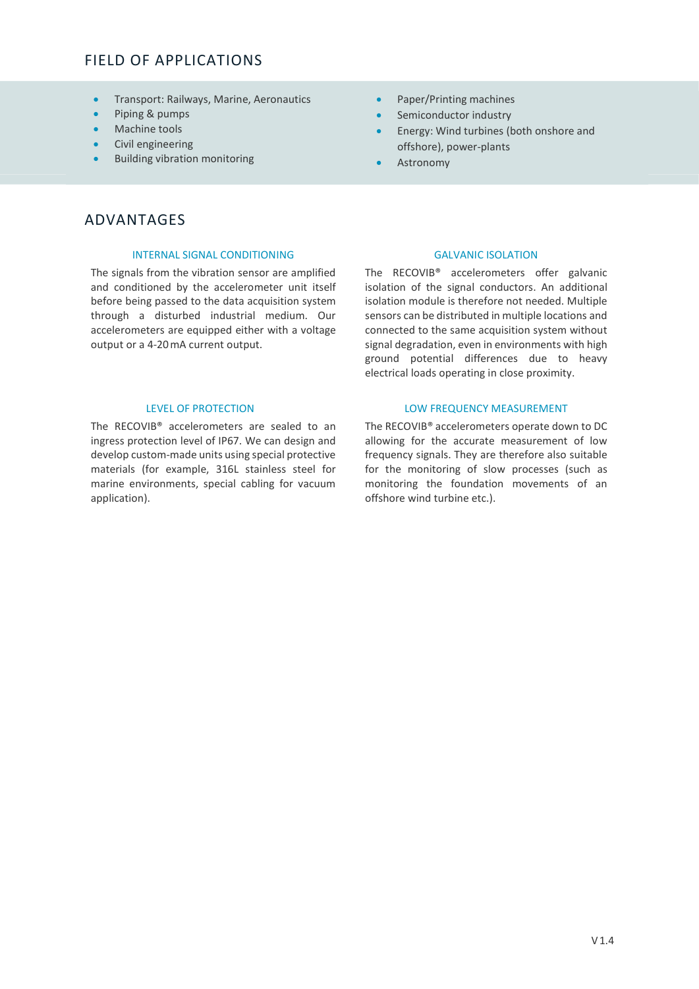### FIELD OF APPLICATIONS

- **•** Transport: Railways, Marine, Aeronautics
- Piping & pumps
- Machine tools
- Civil engineering
- Building vibration monitoring
- Paper/Printing machines
- Semiconductor industry
- Energy: Wind turbines (both onshore and offshore), power-plants
- Astronomy

### ADVANTAGES

### INTERNAL SIGNAL CONDITIONING GALVANIC ISOLATION

The signals from the vibration sensor are amplified and conditioned by the accelerometer unit itself before being passed to the data acquisition system through a disturbed industrial medium. Our accelerometers are equipped either with a voltage output or a 4-20 mA current output.

The RECOVIB® accelerometers are sealed to an ingress protection level of IP67. We can design and develop custom-made units using special protective materials (for example, 316L stainless steel for marine environments, special cabling for vacuum application).

 The RECOVIB® accelerometers offer galvanic isolation of the signal conductors. An additional isolation module is therefore not needed. Multiple sensors can be distributed in multiple locations and connected to the same acquisition system without signal degradation, even in environments with high ground potential differences due to heavy electrical loads operating in close proximity.

### LEVEL OF PROTECTION LOW FREQUENCY MEASUREMENT

 The RECOVIB® accelerometers operate down to DC allowing for the accurate measurement of low frequency signals. They are therefore also suitable for the monitoring of slow processes (such as monitoring the foundation movements of an offshore wind turbine etc.).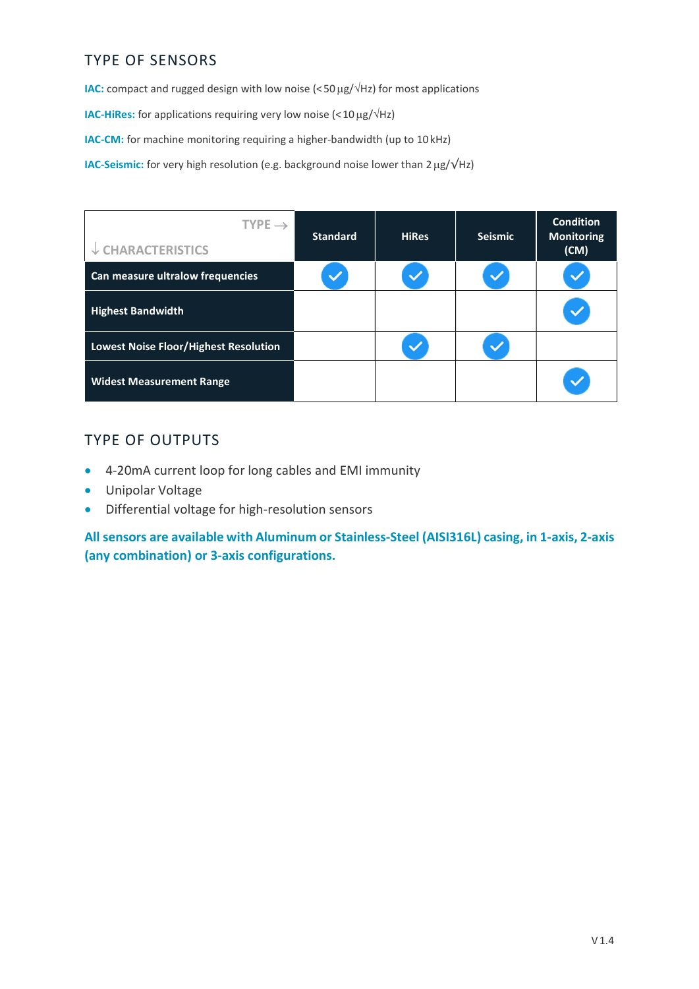### TYPE OF SENSORS

**IAC:** compact and rugged design with low noise  $\left( \langle 50 \mu g / \sqrt{Hz} \right)$  for most applications

**IAC-HiRes:** for applications requiring very low noise  $\langle \times 10 \,\mu g/\sqrt{Hz} \rangle$ 

IAC-CM: for machine monitoring requiring a higher-bandwidth (up to 10 kHz)

IAC-Seismic: for very high resolution (e.g. background noise lower than 2 μg/√Hz)

| TYPE $\rightarrow$<br>$\downarrow$ CHARACTERISTICS | <b>Standard</b> | <b>HiRes</b> | <b>Seismic</b> | <b>Condition</b><br><b>Monitoring</b><br>(CM) |
|----------------------------------------------------|-----------------|--------------|----------------|-----------------------------------------------|
| Can measure ultralow frequencies                   |                 |              |                |                                               |
| <b>Highest Bandwidth</b>                           |                 |              |                |                                               |
| <b>Lowest Noise Floor/Highest Resolution</b>       |                 |              |                |                                               |
| <b>Widest Measurement Range</b>                    |                 |              |                |                                               |

### TYPE OF OUTPUTS

- 4-20mA current loop for long cables and EMI immunity
- Unipolar Voltage
- Differential voltage for high-resolution sensors

All sensors are available with Aluminum or Stainless-Steel (AISI316L) casing, in 1-axis, 2-axis (any combination) or 3-axis configurations.